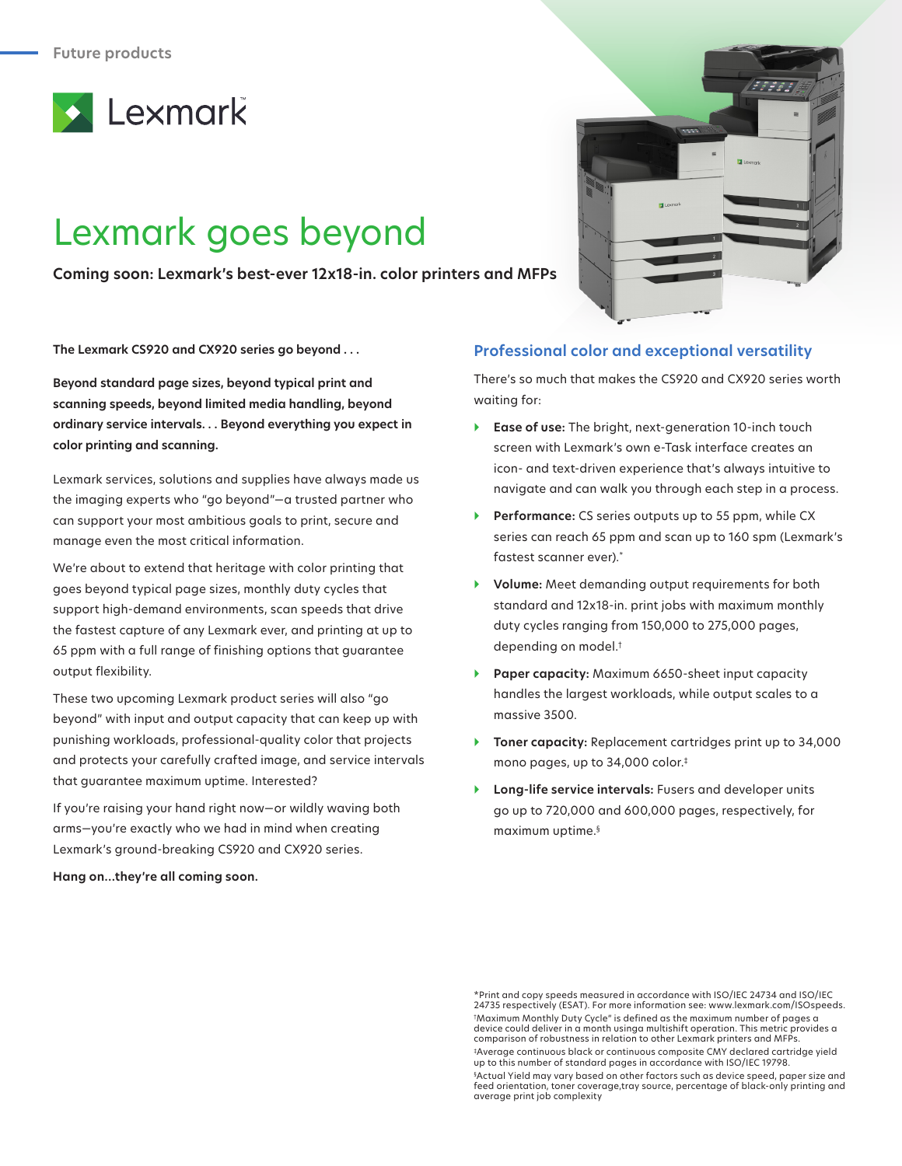

## Lexmark goes beyond

**Coming soon: Lexmark's best-ever 12x18-in. color printers and MFPs**

**The Lexmark CS920 and CX920 series go beyond . . .**

**Beyond standard page sizes, beyond typical print and scanning speeds, beyond limited media handling, beyond ordinary service intervals. . . Beyond everything you expect in color printing and scanning.**

Lexmark services, solutions and supplies have always made us the imaging experts who "go beyond"—a trusted partner who can support your most ambitious goals to print, secure and manage even the most critical information.

We're about to extend that heritage with color printing that goes beyond typical page sizes, monthly duty cycles that support high-demand environments, scan speeds that drive the fastest capture of any Lexmark ever, and printing at up to 65 ppm with a full range of finishing options that guarantee output flexibility.

These two upcoming Lexmark product series will also "go beyond" with input and output capacity that can keep up with punishing workloads, professional-quality color that projects and protects your carefully crafted image, and service intervals that guarantee maximum uptime. Interested?

If you're raising your hand right now—or wildly waving both arms—you're exactly who we had in mind when creating Lexmark's ground-breaking CS920 and CX920 series.

**Hang on…they're all coming soon.**



## **Professional color and exceptional versatility**

There's so much that makes the CS920 and CX920 series worth waiting for:

- } **Ease of use:** The bright, next-generation 10-inch touch screen with Lexmark's own e-Task interface creates an icon- and text-driven experience that's always intuitive to navigate and can walk you through each step in a process.
- **Performance:** CS series outputs up to 55 ppm, while CX series can reach 65 ppm and scan up to 160 spm (Lexmark's fastest scanner ever).\*
- } **Volume:** Meet demanding output requirements for both standard and 12x18-in. print jobs with maximum monthly duty cycles ranging from 150,000 to 275,000 pages, depending on model.†
- } **Paper capacity:** Maximum 6650-sheet input capacity handles the largest workloads, while output scales to a massive 3500.
- } **Toner capacity:** Replacement cartridges print up to 34,000 mono pages, up to 34,000 color.‡
- } **Long-life service intervals:** Fusers and developer units go up to 720,000 and 600,000 pages, respectively, for maximum uptime.§

<sup>\*</sup>Print and copy speeds measured in accordance with ISO/IEC 24734 and ISO/IEC 24735 respectively (ESAT). For more information see: www.lexmark.com/ISOspeeds. † Maximum Monthly Duty Cycle" is defined as the maximum number of pages a device could deliver in a month usinga multishift operation. This metric provides a comparison of robustness in relation to other Lexmark printers and MFPs. ‡Average continuous black or continuous composite CMY declared cartridge yield up to this number of standard pages in accordance with ISO/IEC 19798. § Actual Yield may vary based on other factors such as device speed, paper size and feed orientation, toner coverage,tray source, percentage of black-only printing and average print job complexity